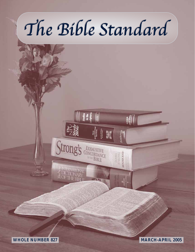# The Bible Standard

Strong's EXHAUSTIVE BIBLE

 $\mathbf{r}$ 

 $\frac{1}{2}$ 

**Bondervan** 

 $\begin{array}{l} \text{JAMES} \\ \text{STIONG} \\ \text{HENDHCANSON} \end{array}$ 

**WHOLE NUMBER 827 MARCH-APRIL 2005**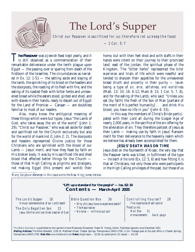

# The Lord's Supper

Christ our Passover is sacrificed for us: therefore let us keep the feast

 $-1$  Cor. 5: 7

T**he Passover** was a Jewish feast kept yearly, and it L is still observed as a commemoration of their remarkable deliverance under the tenth plague upon Egypt — the passing over or sparing from death of the firstborn of the Israelites. The circumstances as narrated in Ex. 12:  $1-51$  — the setting aside and slaying of the lamb, the sprinkling of its blood on the headers and the doorposts, the roasting of its flesh with fire, and the eating of its roasted flesh with bitter herbs and unleavened bread while the eaters stood, girded and shod, and with staves in their hands, ready to depart out of Egypt for the Land of Promise — Canaan — are doubtless familiar to most of our readers.

Also, many know the antitypical meaning of these things which were but types: Jesus "the Lamb of God, who takes away the sin of the world" (John 1: 29); "Christ our Passover," who was set aside for death and sacrificed not for the Church exclusively but also for the world of mankind (1 John 2: 2). The doorposts and headers represented Divine justice for those Christians who are sprinkled with the blood of our Lamb — Jesus' merit, and how they feast by faith on His broken body. It was by His sacrificed life and shed blood that effected better things for the Church those of that High Calling as pilgrims and strangers, not making Egypt (this present evil world) their

home, but with their feet shod and with staffs in their hands were intent on their journey to their promised land, east of the Jordan, the spiritual phase of the Kingdom. The "bitter herbs" represented the *bitter experiences* and trials of life which were needful and tended to sharpen their appetites for the unleavened bread (truth and sincerity in their purity — *leaven* being a type of *sin, error, selfishness, and worldliness* (Matt. 13: 33; 16: 6-12; Mark 8: 15; 1 Cor. 5: 7, 8), and for the eating of the Lamb, who said: "Unless you eat [by faith] the flesh of the Son of Man [partake of the merit of His perfect humanity] . . . and drink His blood, you have no life in you" (John 6: 53).

In this way the members of Christ's Bride participated with their Lord all during the Gospel Age of nearly 2,000 years, in the sacrifice of the sin-offering for the alleviation of sin. They therefore partook of Jesus as their Lamb — making use by faith in Jesus' Ransom merit for their deliverance to the heavenly realm which we believe has already been accomplished for them.

# **JESUS' DEATH WAS ON TIME**

Jesus died on the fourteenth of Nisan, the very day that the Passover lamb was killed, in fulfillment of the type — *the death of the lamb* (Ex. 12: 5, 6) and how fitting it is that all Christians, not only those who were participants in the High Calling privileges of the past, but those of us

*Many Scripture references in this issue are to the New King James Version.*

| "Lift up a standard for the people" $-$ Isa. 62: 10<br>$\text{Contents} - \text{March-April } 2005$                                                     |                                                                                                                                          |                                                                                                                                   |
|---------------------------------------------------------------------------------------------------------------------------------------------------------|------------------------------------------------------------------------------------------------------------------------------------------|-----------------------------------------------------------------------------------------------------------------------------------|
| The Lord's Supper<br>-18<br>Annual commemoration of our Lord's death<br>The Only Begotten Son<br>22<br>Jesus, the first and last direct creation of God | <b>Bible Question Box</b><br>26<br>• Why did Jesus have to experience death?<br>• The Resurrection<br>• No tales $-$ no fire to put out! | Controlling Yourself<br>-28<br>The importance of self-control<br>Features<br>Mail Box<br>-31<br><b>Announcements</b><br>back page |

The Bible Standard is published by the Laymen's Home Missionary Movement, Ralph M. Herzig, Editor. Published regularly since December 1951. **Mailing Address:** The Bible Standard, 1156 St. Matthew's Road, Chester Springs, Pennsylvania 19425-2700, U.S.A. Postage paid at the post office in Chester Springs, Pennsylvania 19425-2700. **Web Site:** *www.biblestandard.com* **Rates:** single issue — \$2.00; by subscription (12 issues) — \$12.00.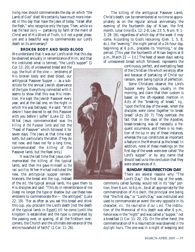living now should commemorate the day on which "the Lamb of God" died! We certainly have much more interest in this day than have the Jews of today, "Israel after the flesh," who recognize only the type. Then, while *we keep the feast daily* — partaking by faith of the merit of Christ and of His Word of Truth, is it not a great pleasure and a beautiful way to commemorate our Lord's death on its anniversary?

### **BROKEN BODY AND SHED BLOOD**

We understand that it was our Lord's wish that this day be observed annually in remembrance of Him, and that He instituted what is termed, "the Lord's supper" (1

Cor. 11: 20), of unleavened bread and the cup, the fruit of the vine — emblems of His broken body and shed blood, our antitypical Passover Supper — as a substitute for the annual Jewish observance of the type. Everything connected with it seems to show that this was His intention. He kept the Jewish Passover every year, and at the last one, on the night in which He was betrayed, He said: "With desire I have desired to eat this Passover with you before I suffer" (Luke 22: 15). What Jesus commemorated was *the killing of the Passover lamb* and not the "Feast of Passover" which followed it for seven days. The Jews at that time kept both, but particularly the latter. (They do not now, and have not for a long time, commemorated the killing of the Passover lamb, but the feast only.)

It was the last time that Jesus commemorated the killing of the typical lamb, and then He gave Himself *as the real sacrifice*. When He had instituted the new, the antitypical supper remembrancers, the bread and the cup, instead

of the *old,* the typical annual lamb, He gave them to His disciples and said: "This do in remembrance of me [keep no longer the type or shadow but use these new emblems to commemorate Me — the antitype]" (Luke 22: 19). "For as often as you eat this bread and drink this cup, you proclaim the Lord's death [not the death of the typical lamb in Egypt] till he come [until the kingdom is established and the type is completed by the passing over, or sparing, of all the firstborn overcomers, the Church and the ultimate deliverance of the entire household of faith]" (1 Cor. 11: 26).

The killing of the antitypical Passover Lamb, Christ's death, can be remembered at no time so appropriately as on the regular annual anniversary, the evening of the fourteenth day of Nisan, the first month, lunar time (Ex. 12: 2-8; Lev. 23: 5; Num. 9: 1- 3; 28: 16), regardless of which day of the week it may come. According to God's reckoning (Gen. 1: 5, 8, *etc*.), the "evening," the night period of a 24-hour day, beginning at 6 p.m., precedes its "morning," or day period. [This year the fourteenth of Nisan begins at 6 p.m., March 22 — *Ed.*] The feast of seven days' eating of unleavened bread which followed, represents the

continuous, perfect, and everlasting feast of the Christian life which we enjoy after and because of partaking of Christ our ransom, *seven* being typical of perfection.

Some Christians observe the Lord's Supper every Sunday, usually in the morning, and claim that their custom is based on the oft-repeated mention in Acts of the "breaking of bread," *e.g.,* "upon the first day of the week, when the disciples were come together to break bread" (Acts 20: 7). They overlook the fact that in the days of the Apostles, bread-breaking was of necessity a frequent occurrence, and there is no mention of *the cup* in any of these instances, whereas the cup constitutes as important a feature in the Memorial as the bread. In addition, none of these meetings on the first day of the week were ever called "the Lord's supper" or by any name that should lead us to the conclusion that they were observances of it.

#### **SUNDAY RESURRECTION DAY**

There are several reasons why "The Lord's Day," the first day of the week,

commonly called Sunday, would not in its "day" portion, from 6 a.m. to 6 p.m., be at all appropriate for the commemoration of His *death,* the principal one being that "the first day," or "Lord's Day," was instituted and used to commemorate an event the very opposite in its character, *viz., the resurrection of our Lord*. The institution of the Memorial of His death was after 6 p.m., hence was in the "night" and was called a "supper," not a breakfast (1 Cor. 11: 20, 23). On the other hand, the commemoration of His resurrection was observed *in the daylight hours*. The one was in a night of weeping and

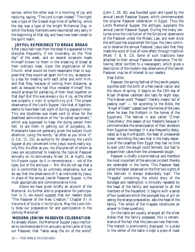sorrow, while the other was in a morning of joy and rejoicing, saying, "The Lord is risen indeed." The night was a type of the Gospel-Age time of suffering, while the day was a type of the bright Millennial Day, in which the Body members were resurrected very early in the beginning of that day and have now been raised to the spirit realm.

#### **JOYFUL EXPERIENCE TO BREAK BREAD**

After Jesus had risen from the dead He appeared to the disciples frequently, if not invariably, on the "first day" of the week, and on several occasions made Himself known to them in the breaking of bread at their ordinary meal. Upon the organization of the Church, what would be more reasonable than to suppose that they would set apart *the first day,* as especially a day for meeting with each other and with Him, and that they, because of coming from distances, as well as because He had thus revealed Himself first, would arrange for partaking of their food together on that day? But this was always *a day of joy,* as the other was properly *a night of sympathizing grief*. The proper observance of the Lord's Supper, like that of baptism, seems to have been lost sight of during papacy's reign. This one doubtless was made void to allow for the deathbed administration of the "so-called sacrament," which was supposed to keep the dying person from hell, to aid them in getting out of purgatory, *etc.* Protestants have not generally given the subject much attention, using the words, "as often as you drink it" (1 Cor. 11: 25), as authority for observing the Lord's Supper at any convenient time. Jesus' words really signify this: As often as you, my disciples (all of whom as Jews are accustomed to keeping the typical Passover annually on its anniversary, Nisan 14, at night), *keep this Passover supper,* do it in remembrance — not of the type, but of the antitype — Me. We do not say that a sin is committed by an untimely observance, but we do say that the observance of it as instituted by Jesus, in place of the annual Jewish Passover Supper, is the most appropriate and commemorative time.

Above we have given briefly an account of the Memorial. As further aids to preparation for participation in it, we would suggest that our readers study "The Passover of the New Creation," Chapter XI in Volume 6 of *Studies in the Scriptures*. May the Lord richly bless our preparation for and participation in the coming Memorial!

**MODERN JEWISH PASSOVER CELEBRATION** As already shown, the Memorial Supper Jesus instituted to commemorate Him annually as the Lamb of God, our Passover, that "takes away the sin of the world" (John 1: 29, 36), was founded upon and typed by the annual Jewish Passover Supper, which commemorated the original Passover celebration in Egypt. Thus the Lord's Memorial Supper, the antitype, supplants the annual Jewish Passover Supper. During the many centuries since the institution of the Scriptural observance of the Passover under the Mosaic Law, and even since the antitype has supplanted the type, the Jews continue to observe the annual Passover. Jesus said that they made the word of God of none effect through tradition (Mark 7: 8, 9, 13). Some of such traditions have attached to their annual Passover observance. The following letter (written to a newspaper), which gives a description of the modern-day observance of the Jewish Passover, may be of interest to our readers:

Dear Editor,

Passover, the spring festival of the Jewish people, signifies both the birth of a free Jewish nation and the return of spring. It begins on the 15th day of Nisan (Hebrew calendar) and lasts for eight days. The Hebrew word "Passach" literally means "act of passing over" — for according to the Bible, the "Angel of Death" passed over the homes of the Jews when he slew the firstborn in the homes of the Egyptians. The festival is also called "Z'man Cheruthenu" (the season of our freedom) because it commemorates the emancipation of their ancestors from Egyptian bondage. It is also frequently designated as Hag-Ha-Mazzoth, the feast of unleavened bread, reminding the Jews that in the hasty departure of the Israelites from Egypt they had no time to wait until the dough could ferment, but had to prepare their cakes from the unleavened dough.

Passover is chiefly a home festival and therefore the most important of the services incident thereto are celebrated in the home. This Passover feast called the Seder (observed on the first two nights of the festival) is always elaborately kept. The "Hagada" containing the whole story of the bondage and redemption is minutely repeated by the head of the family and explained to all the members of the household. It begins with a series of four questions which the youngest boy or girl on seeing the strange preparation, asks the head of the family. The whole of the Hagada constitutes an answer to these questions.

On the table are usually arranged all the silver dishes that the family possesses; this is remembrance of the fact that the Jews are now free men. The matzoh is prominently displayed. In a plate in the center of the table is kept a piece of roast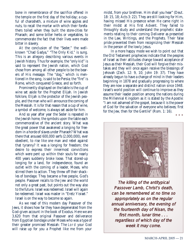bone in remembrance of the sacrifice offered in the temple on the first day of the holiday; a cupful of charosheth, a mixture of wine apples and nuts, to recall the mortar with which their forefathers toiled when they built the store-cities for Pharaoh; and some bitter herbs or vegetables, to commemorate the fact that their lives were made bitter in slavery.

At the conclusion of the "Seder," the wellknown "Chad Gadya," "The Only Kid," is sung. This is an allegory describing various events in Jewish history. Thus for example, the "only kid" is said to represent the Jewish nation, which God chose from among all other people to be the bearers of His message. The "dog," which is mentioned in the song, is said to be Persia; the "fire" is Rome, which conquered Greece, and so forth.

Prominently displayed on the table is the cup of wine set aside for the Prophet Elijah. In Jewish folklore, Elijah is the protector of the Jewish people, and the man who will announce the coming of the Messiah. It is for that reason that a cup of wine, a symbol of welcome, is always set aside for him.

And so year after year the Seder is repeated in the Jewish home, the symbols upon the table each commemorative of the ancient story. What was the great power that awakened a longing for freedom in a horde of slaves under Pharaoh? What was there that aroused 600,000 serfs (2,000,000), ever obedient, to rise like one man and rebel against that tyranny? It was a longing for freedom; the desire to express their innermost convictions which were pent up within their souls for nearly 400 years suddenly broke loose. That stored-up longing for a land, for independence, found an outlet with the coming of a leader, Moses, who stirred them to action. They threw off their shackles of bondage. They became a free people, God's people. Passover recalls to the Jew and the world not only a great past, but points out the way also to the future. Israel was redeemed. Israel will again be redeemed. Israel was master in "Eretz Yisrael." Israel is on the way to become so again.

As we read of this modern day Passover of the Jews, it shows how far they have degenerated from the God-given account in the book of Exodus. Here we are 3,620 from that original Passover and deliverance from Egyptian bondage under Moses who was a type of their greater promised Messiah: The Lord your God will raise up for you a Prophet like me from your

midst, from your brethren. Him shall you hear" (Deut. 18: 15, 18; Acts 3: 22). They are still looking for Him, having missed His presence when He came right in their midst at His first Advent. They failed to throughly study and understand the prophetic statements relating to their coming Deliverer as presented in the Law, Writings, and the Prophets. Their false pride prevented them from recognizing their Messiah in the person of the lowly Jesus.

In a more happy mode we wish to point out that the Old Testament prophecies indicate that the peoples of Israel as their attitudes change toward acceptance of Jesus as their Messiah, their God will forgive their mistakes and they will once again receive the blessings of Jehovah (Zech. 12: 9, 10; John 19: 37). They have already begun to have a change of mind in their leaders beginning in 1878 and gradually progressing to where they are now a separate and distinct nation since 1948. Israel's world position will continue to improve as they assume their leader position among the nations during the Millennial Kingdom as it is stated by the Apostle: "I am not ashamed of the gospel, because it is the power of God for the salvation of everyone who believes; first for the Jew, then for the Gentile" (Rom. 1: 16).

\* \* \*



The killing of the antitypical Passover Lamb, Christ's death, can be remembered at no time so appropriately as on the regular annual anniversary, the evening of the fourteenth day of Nisan, the first month, lunar time . . . regardless of which day of the week it may come.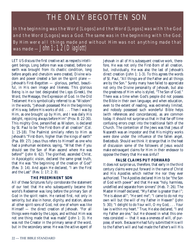# THE ONLY BEGOTTEN SON

In the beginning was the Word [Logos] and the Word [Logos] was with the God and the Word [Logos] was a God. The same was in the beginning with the God. By Him were all things made and without Him was not anything made that was made — *John 1 : 1, 2 (Diaglott)*

LET US discuss the first creative act as respects intelligent beings. Long before man was created, before our earth was brought from its chaotic condition, long before angels and cherubim were created, Divine wisdom and power created a Son on the spirit plane — Jehovah's First-Begotten — glorious, perfect, beautiful, in His own image and likeness. This glorious Being is in our text designated the *Logos* (Greek), the Word, the Message, the Expression of God. In the Old Testament He is symbolically referred to as "Wisdom" in the words, "Jehovah possessed Me in the beginning of His way, before His works of old. . . . Then I was by Him, as one brought up by Him, and I was daily His delight, rejoicing always before Him" (Prov. 8: 22-30). This mighty One, personified as Wisdom, is declared by St. Paul to be "the First-Born of all creation" (Col. 1: 15-18). The Psalmist similarly refers to Him as Jehovah's "First-Born, higher than the kings of earth" (Psa. 89: 27). Jesus thus refers to Himself as one who had a prehuman existence, saying, "What then if you should see the Son of Man ascend where He was before?" (John 6: 62). The glorified, ascended Christ, in Apocalyptic vision, declared the same great truth, that He was "the beginning of the creation of God" (Rev. 3: 14). And again He declared, "I am the First and the Last" (Rev. 1: 17; 2: 8).

# **THE PREEMINENT SON**

All of these Scriptures fully corroborate the statement of our text that He who subsequently became the world's Redeemer was long before the primary Son of God in the spirit realm. He ranked first, not only in seniority, but also in honor, dignity, and station, above all other spirit-sons of God, not one of whom was like Himself — the direct creation of Jehovah. "For all things were made by the Logos, and without Him was not one thing made that was made" (John 1: 3). He was not the Creator in the primary sense of the word, but in the secondary sense. He was the active agent of Jehovah in all of His subsequent creative work, therefore, He was not only the First-Born of all creation, but, individually, He was also the last of Jehovah's direct creation (John 1: 1-3). To this agrees the words of St. Paul, "All things are of the Father and all things are by the Son." Surely many have failed to appreciate not only the Divine personality of Jehovah, but also the greatness of Him who is styled, "The Son of God." There was a time when God's people did not possess the Bible in their own language, and when education, even to the extent of reading, was extremely limited, and nobody possessed such wonderful Bible helps (with references and concordances), as are common today. It should not surprise us that in that far-off time confusing errors crept into the traditional faith of the Church. The contention of the Jews was that Jesus of Nazareth was an impostor and that His mighty works were done under the influence of the fallen angel, Beelzebub. Should we think it strange that in the heat of discussion some of the followers of Jesus would make extravagant claims for Him in their endeavor to oppose the theory that He was sinful?

# **FALSE CLAIMS PUT FORWARD**

It does not surprise us, therefore, that early in the third century claims were put forward in the name of Christ and His Apostles which neither He nor they ever authorized. The Apostles declared Him to be "the Son of God with power" and that He was "holy, harmless, undefiled and separate from sinners" (Heb. 7: 26). The Master Himself declared, "My Father is greater than I"; "He is above all"; "He sent me"; "I came to do not my own will but the will of my Father in Heaven" (John 5: 30); "I delight to do Your will, O my God, . . . Your law is within my heart." True, He also declared, "I and my Father are one," but He showed in what this oneness consisted — that it was a oneness of will, of purpose, of work. Because He had fully submitted His will to the Father's will and had made the Father's will His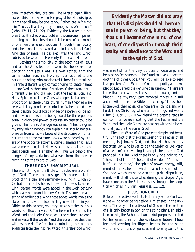own, therefore they are one. The Master again illustrated this oneness when He prayed for His disciples "that they all may be one, as you Father, are in Me and I in You . . . that they may be one just as We are one" (John 17: 11, 21, 22). Evidently the Master did not pray that His disciples should all become one in person or being, but that they should all become of one mind, of one heart, of one disposition through their loyalty and obedience to the Word and to the spirit of God. And this oneness, He declared, was the kind which subsisted between the Heavenly Father and Himself.

Leaving the simplicity of the teachings of Jesus and of the Apostles, some went to the extreme of declaring that Jesus was His own Father; that the terms Father, Son, and Holy Spirit all applied to one person or being who manifested Himself to mankind in three different ways corresponding to these names — one God in three manifestations. Others took a still different view and claimed that the Father, Son, and Holy Spirit were three Gods who operated as one. In proportion as these unscriptural human theories were received, they produced confusion. When asked how three persons could logically be one person or being, and how one person or being could be three persons equal in glory and power, of course, no answer could be given. Then the subterfuge was raised, "This is a great mystery which nobody can explain." It should not surprise us from what we know of the structure of human nature that these extreme views were opposed by others of the opposite extreme, some claiming that Jesus was a mere man, that He was born as are other men, that Joseph was His father, *etc*. Thus we behold the danger of any variation whatever from the precise teachings of the Word of God.

#### **THREE GODS UNSCRIPTURAL**

There is nothing in the Bible which declares a plurality of Gods. There is one passage of Scripture quoted in proof of this idea, and seemingly proving it (1 John 5: 7), but informed scholars know that it was tampered with; several words were added in the 14th century which are not found in any Greek Testament manuscript of earlier date. And those added words make the statement as a whole foolish. If you will turn in your Bibles to this passage, you may strike out the spurious words as follows in verse 7: "In heaven the Father, the Word and the Holy Ghost, and these three are one"; and in verse 8 the words: "and there are three that bear witness in earth." After thus eliminating the spurious additions from the inspired Word, this falsehood which

*Evidently the Master did not pray that His disciples should all become one in person or being, but that they should all become of one mind, of one heart, of one disposition through their loyalty and obedience to the Word and to the spirit of God.*

was inserted for the very purpose of deceiving, and because no Scripture could be found to give support the doctrine of three Gods, then you will be able to read that portion of the Word of God in its purity and simplicity. Let us read the genuine passage now: "There are three that bear witness the spirit, the water, and the blood." The "mystery" part removed makes it in full accord with the entire Bible in declaring, "To us there is one God, the Father, of whom are all things, and one Lord, Jesus Christ, by whom are all things and we by Him" (1 Cor. 8: 6). How absurd the passage reads in our common version, stating that the Father and the Word and the Holy Ghost are bearing witness in heaven that Jesus is the Son of God!

The pure Word of God presents simply and beautifully the fact that the great Creator, the Father of all mercies, is Jehovah God, and that He has an only begotten Son who is yet to be the Savior or Deliverer of all Adam's race willing to accept the grace of God provided in Him. And there is only one holy spirit, "the spirit of truth," "the spirit of wisdom," "the spirit of a sound mind," the spirit of power, energy, will, mind of the Father — which is also the spirit of the Son, and which must be also the spirit, disposition, mind, will of all those who, during the Gospel Age, have come unto the Father as sons through the adoption which is in Christ Jesus (Isa. 11: 12).

#### **JESUS HONORED**

Before the creative work started in any sense, God was alone — no other being beside Him existed in the universe. The very first creative act of God was the creation of His only begotten Son on the spirit plane. In addition to this, the Father had wonderful purposes in mind for his great plan for the everlasting future. These included creating intelligent beings for the spirit world, and billions of galaxies and solar systems that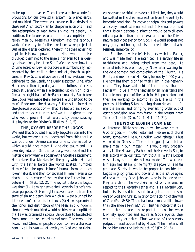make up the universe. Then there are the wonderful provisions for our own solar system, its planet earth, and mankind. There were various necessities devised in the Great Architect's Plan for the permission of sin, and the redemption of man from sin and its penalty. In addition, the future restoration to be accomplished for fallen man by Messiah's Kingdom and the glorious work of eternity in further creations were projected. But as the Master declared, these things the Father had kept in His own power — in His own mind. He divulged them not to the angels, nor even to His dearly beloved "only begotten Son." We have seen how this Divine secret or Divine purpose was symbolically represented by the scroll in the hands of Jehovah, as pictured in Rev. 5: 1. We have seen that this revelation was delivered to the Lamb, the Only Begotten One, after His consecration at Jordan, and in its fullness after His death at Calvary, when He ascended up on high, glorified at the right hand of the Father's majesty. But before the Logos was made flesh, before He undertook to be man's Redeemer, the Heavenly Father set before Him the glorious proposition — that He had a plan, a scroll, and that the execution thereof was to be given to one who would prove Himself worthy, by demonstrating His loyalty to the Divine Will (Rev. 5: 2, 5).

### **THE JOYS SET BEFORE THE LOGOS**

We read that God sent His only begotten Son into the world, but we are not to understand from this that He was put under Divine commandment, the refusal of which would have meant Divine displeasure and His own degradation. On the contrary, we understand the matter clearly when we observe the Apostle's statement. He declares that Messiah left the glory which He had with the Father before the world existed, humbled Himself to take upon Himself human form (a much lower nature), and then consecrated Himself, even unto death — all because of the joy that the Father had set before Him (Heb. 12: 2). The joy set before the Logos was that: (1) He might serve the Heavenly Father's gracious purposes; (2) He might recover mankind from the state of sin and death into which all were plunged by father Adam's act of disobedience; (3) He was promised the honor and distinction of the Messianic Kingdom, through which mankind would be blessed and uplifted; (4) He was promised a special Bride class to be selected from among the redeemed race of men. These would be Jewish and Christian people proven to have a character bent like His own — of loyalty to God and to righteousness and faithful unto death. Like Him, they would be exalted in the chief resurrection from the earthly to heavenly condition, far above principalities and powers and every name that is named; and (5) He was promised that His own personal distinction would be to all eternity a participation in the exaltation of the Divine nature and vicegerency for God. He would possess not only glory and honor, but also inherent life — deathlessness, immortality.

For these joys He left His glory with the Father, and was made flesh, He sacrificed His earthly life in faithfulness and, being raised from the dead, He entered into His promised joy. Now, after waiting for the development and completion of the Church, His Bride, and members of His Body for nearly 2,000 years, He now has them glorified with Him in the heavenly realm. They have laid hold of the promise that the Father will give Him the heathen for an inheritance and the uttermost parts of the earth for His possession, and they are working to accomplish this. He is in the process of binding Satan, putting down sin and uplifting the sinner, and bringing everlasting order out of earth's confusion now manifested in the present great Time of Trouble (Dan. 12: 1; Matt. 24: 21).

# **THE WORD** *ELOHIM* **EXAMINED**

As informed Bible scholars know, the word *elohim* — God or gods — in Old Testament Hebrew is of plural form, somewhat like our English word "sheep." Thus we read in Genesis, "The *elohim* [gods] said, let us make man in our image." This would very properly apply to the Heavenly Father and the Heavenly Son, in full accord with our text, "Without Him [the Logos] was not anything made that was made." The word *elohim* signifies, literally, *the mighty, the powerful, and the great one*. Surely, it would be proper to consider the Logos mighty, great, and powerful as the active agent of the Almighty One, Jehovah, who is also styled the *Mighty Elohim*. The word *elohim* not only is used in respect to the Heavenly Father and His Heavenly Son, but it is also used in respect to angels as the messengers of God and Christ, mighty to the doing of the will of God (Psa. 8: 5): "Thou hast made man a little lower than the angels [*elohim*]." Still further notice that this word *elohim* is used in respect to men, for when Divinely appointed and active as God's agents, they were mighty, or *elohim*. Thus we read of the seventy judges of Israel appointed by Moses: "The master shall bring him unto the judges [*elohim*]" (Ex. 21: 6).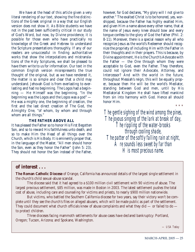We have at the head of this article given a very literal rendering of our text, showing the fine distinctions of the Greek original in a way that our English version does not show it. As Bible students we have not in the past been sufficiently critical in our study of God's Word, but now, by Divine providence, it is possible for those even who have practically no knowledge of the Greek and Hebrew to understand the Scripture presentations thoroughly. If any of our readers are unsuccessful in finding authoritative works that show the interpolations and mistranslations of the Holy Scriptures, we shall be pleased to have them write to us for information. Our text in the common English version misrepresents the true thought of the original, but as we have rendered it, the matter is so simple and clear that a child may understand. Jehovah God is from everlasting to everlasting and had no beginning. The Logos had a beginning — He Himself was the beginning. "In the beginning was the Logos and the Logos was a god" — He was a mighty one, the beginning of creation, the first and the last direct creation of The God, the Almighty One, "of whom, by whom and through whom are all things."

# **THE FATHER ABOVE ALL**

It has pleased the Father so to honor His First Begotten Son, and so to reward His faithfulness unto death, and so to make Him the Head of all things over the Church, which is His Body. It is eminently proper that, in the language of the Master, "All men should honor the Son, even as they honor the Father" (John 5: 23). They should not honor the Son instead of the Father,

however, for God declares, "My glory will I not give to another." The exalted Christ is to be honored, yes, worshipped, because the Father has highly exalted Him, and given Him a name above every other name, that at the name of Jesus every knee should bow and every tongue confess to the glory of God the Father (Phil. 2: 8-11). Moreover, there is a special reason why all who recognize Jesus as the world's Redeemer should recognize the propriety of including Him with the Father in their thoughts and in their prayers. This is because, by Divine appointment, He is the Church's Advocate with the Father — the One through whom they were acceptable to God, even the Father. They therefore, could not ignore their Advocate, Attorney, and Intercessor? And with the world in the future, throughout Messiah's reign, this will be equally proper, because then He will be the world's Mediator, standing between God and men, until by His Mediatorial Kingdom He shall have lifted mankind from sin into harmony with God. Hence all should honor Him.

*The gentle sighing of the wind among the pines, The joyous singing of the lark at break of day, The rippling of the water-brooks through cooling shade, The patter of the softly falling rain at night, Are sounds less sweet by far than His most precious name.*

# **of interest . . .**

**The Roman Catholic Diocese** of Orange, California has announced details of the largest single settlement in the church's child sexual-abuse scandal.

The diocese said that it had agreed to a \$100 million civil settlement with 90 victims of abuse. The largest previous settlement, \$85 million, was made in Boston in 2003. The latest settlement pushes the total cost of abuse, including care and counseling for victims and priests, to nearly \$900 million nationwide.

But victims, who battled the Southern California diocese for two years, say their victory won't be complete until they see the church's files on alleged abusers, which will be made public as part of the settlement. They could document what church officials knew of abuse complaints and what they did — or failed to do to protect children.

Three dioceses facing mammoth settlements for abuse cases have declared bankruptcy: Portland, Oregon; Tucson, Arizona; and Spokane, Washington.

*— USA Today*

\* \* \*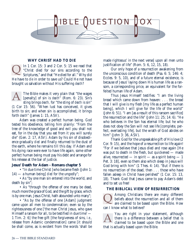

# **WHY CHRIST HAD TO DIE**

In 1 Cor. 15: 3 and 2 Cor. 5: 15 we read that "Christ died for our sins according to the Scriptures," and that "He died for all." Why did He have to *die* in order to save us? Could He not have brought us salvation without His suffering *death*? Q

The Bible makes it very plain that "the wages [penalty] of sin is *death*" (Rom. 6: 23). Sin's sting brings *death,* for "the sting of *death* is sin" (1 Cor 15: 56). "When lust has conceived, it gives birth to sin; and when sin is accomplished, it brings forth *death*" (James 1: 15, ASV). A

Adam was created a perfect human being. God tested his obedience, telling him plainly: "From the tree of the knowledge of good and evil you shall not eat, for in the day that you eat from it you will surely die" (Gen. 2: 17, ASV). Adam by his sin of disobedience gradually *died* and finally returned to the dust of the earth, where he remains till this day. If Adam and his dying race were ever to have life again, some other perfect human being must pay his debt and arrange for his release at the bar of justice.

#### **Jesus' Death for Adam - Romans chapter 5**

• "In due time Christ [who became flesh (John 1: 14) — a human being] *died* for the ungodly";

• As "by one man sin entered into the world, and death by sin";

• As "through the offense of one many be dead, much more the grace of God, and the gift by grace, which is by one man, Jesus Christ, hath abounded unto many";

• "As by the offense of one [Adam] judgment came upon all men to condemnation; even so by the righteousness of one ['the man Christ Jesus, who gave Himself a ransom for all, to be testified in due time' — 1 Tim. 2: 6] the free gift [the forgiveness of sins, *i.e.*, release from Adamic condemnation] came [it should be shall come, as is evident from the words 'shall be

made righteous' in the next verse] upon all men unto justification of life" (Rom. 5: 6, 12, 15, 18).

Our only hope of a resurrection awakening from the unconscious condition of death (Psa. 6: 5; 146: 4; Eccles. 9: 5, 10), and of a future eternal existence, is because of Jesus' laying down His human life as a ransom, a corresponding price, an equivalent for the forfeited human life of Adam.

Thus Jesus Himself testifies: "I am the living bread which came down from heaven: . . . the bread that I will give is my flesh [my life as a perfect human being], which I will give for the life of the world" (John 6: 51). "I am [as a result of this ransom sacrifice] the resurrection and the life" (John 11: 25; 14: 6). "He who believes in the Son has eternal life; but he who does not obey the Son will not see life [complete, perfect, everlasting life], but the wrath of God abides on him" (John 3: 36, ASV).

Thank God for the unspeakable gift of His love (2 Cor. 9: 15), and the hope of a resurrection to life again! "For if we believe that Jesus died and rose again [He was put to death in the flesh, but quickened — made alive, resurrected — in spirit — as a spirit being — 1 Pet. 3: 18], even so them also which sleep in Jesus will God bring with him" (1 Thes. 4: 14). "But if there is no resurrection of the dead, then . . . those who have fallen asleep in Christ have perished" (1 Cor. 15: 13, 18). Thank God that Jesus came to pay Adam's debt and to set us free!

#### **THE BIBLICAL VIEW OF RESURRECTION**

Among Christians there are many different beliefs about the resurrection and all of them are claimed to be based upon the Bible. How can I know what to believe? Q

You are right in your statement, although there is a difference between a belief that is claimed to be based upon the Bible and one that is actually based upon the Bible. A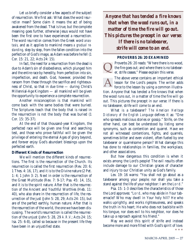Let us briefly consider a few aspects of the subject of resurrection. We first ask: What does the word *resurrection* mean? Some claim it means the act of being awakened from the dead. That is true, but the complete meaning goes further, otherwise Jesus would not have been the first one to have experienced a resurrection. The word *resurrection* comes from the Greek word *anastasis,* and as it applies to mankind means *a gradual restanding,* step by step, from the fallen condition into the perfection of God's image, as Adam was before he fell (1 Cor. 15: 21, 22; Acts 24: 15).

In fact, the need for a resurrection from the dead is due to Adam's sin of disobedience, which plunged him and the entire race by heredity, from perfection into sin, imperfection, and death. God, however, provided the ransom from these through the sacrifice and righteousness of Christ, so that in due time — during Christ's Millennial-Age Kingdom — all mankind will be given the opportunity to experience a complete resurrection.

Another misconception is that mankind will come back with the same bodies that were buried. The Scriptures teach that the body that is raised in the resurrection is not the body that was buried (1 Cor. 15: 35-37).

At the end of that thousand-year Kingdom, the perfected race will be given one final and searching test, and those who prove faithful will be given the privilege of entering the eternal Ages of glory beyond, and forever enjoy God's abundant blessings upon the perfected earth.

#### **Different Kinds of Resurrection**

We will mention the different kinds of resurrections. The first is the resurrection of the Church. Its resurrection is called the first resurrection (Rev. 20: 6; 1 Thes. 4: 16, 17), and it is to the Divine nature (2 Pet. 1: 4; 1 John 3: 2). Next in order is the resurrection of the Great Multitude (Rev. 7: 9-17; Psa. 45: 14, 15), and it is to the spirit nature. After that is the resurrection of the Ancient and Youthful Worthies (Heb. 11: 40), who also share in the resurrection of life, the resurrection of the just (John 5: 28, 29; Acts 24: 15), but are of the perfect earthly, human nature. After that is the resurrection of the world, the one we have been discussing. The world's resurrection is called the resurrection of the unjust (John 5: 28, 29 *A.R.V.*; Acts 24: 15; Isa. 25: 6-8), called so because in the present life they have been in an unjustified state.

*Anyone that has tended a fire knows that when the wood runs out, in a matter of time the fire will go out. This pictures the precept in our verse: If there is no talebearer, strife will come to an end.*

#### **PROVERBS 26: 20 EXAMINED**

Proverbs 26: 20 reads: "Where there is no wood, the fire goes out; and where there is no talebearer, strife ceases." Please explain this verse. Q

The above verse contains an important ethical lesson for the Lord's people. The writer adds force to the lesson by using a common illustration. Anyone that has tended a fire knows that when the wood runs out, in a matter of time the fire will go out. This pictures the precept in our verse: If there is no talebearer, strife will come to an end. A

What is a talebearer? *The American Heritage Dictionary of the English Language* defines it as: "One who spreads malicious stories or gossip." Strife, on the other hand, can best be understood by listing some synonyms, such as contention and quarrel. Have we not all witnessed contentions, fights, and quarrels, sometimes bitter and even violent, often fueled by one talebearer or quarrelsome person? What damage this has done to relationships in families, the workplace, and other associations.

But how dangerous this condition is when it exists among the Lord's people! The evil results often include damage to our Christian graces of character and injury to our Christian unity as God's family.

Lev. 19: 16 warns: "You shall not go about as a talebearer among your people; nor shall you take a stand against the life of your neighbor: I am the Lord."

Psa. 15: 1-3 describes the characteristics of those the Lord approves: "Lord, who may abide in Your tabernacle? Who may dwell in Your holy hill? He who walks uprightly, and works righteousness, and speaks the truth in his heart; He who does not backbite with his tongue, nor does evil to his neighbor, nor does he take up a reproach against his friend."

May we avoid this spirit of strife and instead become more and more filled with God's spirit of love. \* \* \*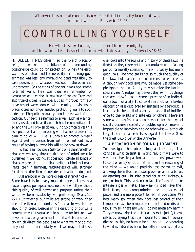# CONTROLLING YOURSELF

He who is slow to anger is better than the mighty, and he who rules his spirit than he who takes a city — Proverbs 16: 32

IN OLDEN TIMES cities filled the role of places of refuge — where the inhabitants of the surrounding countryside could go for protection. When the earth was less populous and the necessity for a strong government was less, any marauding band was likely to take possession of whatever was out in the open and unprotected. So the cities of ancient times had strong fortified walls. This was true, we remember, of Jerusalem and Jericho. It was true of ancient Troy, and also true of cities in Europe. But as improved forms of government were adopted with security provisions in place, cities no longer needed protecting walls to such a degree. The police nowadays constitute a wall of protection. Our text is referring to a wall such as was formerly used, and to a city which had become dilapidated and the wall broken down. King Solomon gives this as a picture of a human being who has no rule over his own mind or will. He is unable to protect himself against evil influences from within or without, as a result of having allowed his will to be broken down.

What is self-control? Self-control is the strength of character whereby through firmness of mind we rule ourselves in well-doing. It does not include all kinds of character strength — it is that particular kind that manifests itself in firmness, resoluteness of will, strongly fixed in the direction of one's determination to do good.

All are born with more or less of strength of will. Some have this in a very marked degree, others in a lesser degree; perhaps almost no one is wholly without this quality of will power and purpose, unless their wills have been invaded by evil spirit beings (Matt. 12: 22). But whether our wills are strong or weak they need direction and boundaries for areas in which they should not tread. Lessons in the directing of our wills come from various quarters. In our day, for instance, we have the laws of government, in city, state, and country which direct the people as to what we may do and may not do — particularly what we may not do. As

one looks into the source and history of these laws, he finds that they represent the accumulated will of a long period. Generally speaking, mankind today has many good laws. The problem is not so much the quality of the law, but rather lack of means to enforce it. Although very good laws may be made, yet some people ignore the law. A jury may set aside the law in a special case. A judge may pervert the law. Thus things that are unlawful can become a practice of an individual, a town, or a city. To cultivate in one's self a lawless disposition as is displayed for instance by a terrorist, is to cultivate the spirit of anarchy — a spirit of indifference to the rights and interests of others. There are some who manifest reasonable respect for the laws of society because necessity or public opinion makes it impossible or inadvisable to do otherwise — although they at heart are anarchists as regards the Law of God, the great Law-giver of the Universe.

# **A PERVERSION OF SOUND JUDGMENT**

To investigate this subject along another line, let us consider what calamities might result if we were to yield ourselves to passion, and its intense power were to control us by emotion rather than the reasoning of the mind — we would possibly lose control to evil, allowing this influence to sweep over us and master us, devastating our Christian stand for truth, righteousness, or both. This passion can take the form of lust or intense anger or hate. The weak-minded have their limitations; the strong-minded have the excess of power and are more potent for evil if overcome. We hear many say, when they have lost control of their temper, or have been morose or ill-natured or discourteous: "Well, that's my way; I do not mean any harm." They acknowledge the matter and seek to justify themselves by saying that it is natural to them. In contradiction to this, no human being should live according to what is natural to his or her fallen imperfect nature.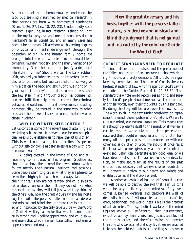An example of this is homosexuality, condemned by God but seemingly justified by medical research in that persons are born with homosexual tendencies (Rom. 1: 26, 27; Lev. 18: 22, 23). Undoubtedly such research is genuine, in fact, research is shedding light on the myriad physical and mental problems due to mankind's fallen condition, and in many cases has been of help to man. All are born with varying degrees of physical and mental derangement through the operation of sin in the human family. Some are brought into the world with tendencies toward kleptomania, murder, robbery, and the many variations of immorality. Does their condition justify a degraded life style in crime? Should we tell the bank robber: "Oh, too bad you inherited through imperfection your desire to rob banks, but you can't help it," so we give him a pat on the back and say: "Continue right on in your trade of robbery" — or does common sense and the law step in and through discipline, counseling, and rehabilitation help him to correct the criminal behavior. Should not immoral perversions, including homosexuality, be treated in the same way as other acts, and should we not seek to correct the behavior of those involved?

#### **WHY DO WE NEED SELF-CONTROL?**

Let us consider some of the advantages of attaining and retaining self-control. It prevents our becoming spiritual wrecks by enabling us to repel the attacks of evil. This is what our heading text describes: "A person without self-control is as defenseless as a city with broken-down walls."

A being created in the image of God and still retaining some traces of his original Godlikeness should live above the plane of the lower animals which follow merely their natural instincts and passions. Some people seem to glory in what they are pleased to term their high spirit, which will always stand up for their "rights." They are not as weak and childish as to let anybody run over them! If they do not like what others do or say, they will tell just what they think of the others. Oh, how the great Adversary and his hosts, together with the perverse fallen nature, can deceive and mislead and blind the judgment that is not guided and instructed by the only true Guide — the Word of God! How they can make that which is noble and truly strong and Godlike appear weak and childish and make that which is weak, base, selfish, and animal appear strong and manly!

*How the great Adversary and his hosts, together with the perverse fallen nature, can deceive and mislead and blind the judgment that is not guided and instructed by the only true Guide — the Word of God!*

**CORRECT STANDARDS NEED TO REGULATE** The inclinations, the impulses, and the preferences of the fallen nature are often contrary to that which is right, noble, and truly desirable. All should be regulated by some standard. The Law of God is the very highest standard of law. And the spirit of God's Law is embodied in the Golden Rule (Matt. 22: 37-39). This standard the whole world recognizes as right, and surely the Lord's people should measure all their conduct and their words, even their thoughts, by this standard. By doing this they will be rulers over their own spirit. The word spirit in the text under consideration represents the mind, the impulses of one's nature. We are to rule our mind, our natural impulses. This means that if a thought presents itself to the mind, or if we feel a certain impulse, we should be quick to perceive the nature of the thought or impulse, and if it is not in harmony with the principles of righteousness or with our covenant as children of God, we should at once resist it. If our will power gives way and no self-control is exercised, Satan can devastate every good quality we have developed so far. To save us from such devastation, to make secure for us the results of our past efforts, it is necessary that we exercise self-control. It will prevent ruination of our hearts and minds and enable us to repel the attacks of evil.

Another advantage of having self-control is that we will be able to destroy the evil that is in us. One who takes a symbolic city of the mind skillfully overcomes sustained defenses and destroys its wall of depravity, houses of evil qualities, and soldiers of sin, error, selfishness, and worldliness. This is the greatest of all victories. This symbolical warfare of the mind requires above all, self-control, then perseverance, executive ability, finally wisdom, justice, and love of the highest order, and therefore makes one greater than one who takes a natural city. By it we are enabled to lessen the hold evil habits or besetting sins have on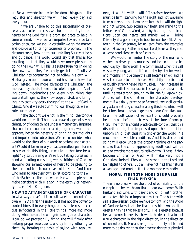us. Because we desire greater freedom, this grace is the regulator and director we will need, every day and every hour.

If we are unable to do this successfully of ourselves, as is often the case, we should promptly lift our hearts to the Lord for His promised grace to help in time of need. If we feel an impulse toward a certain action or course, we should carefully weigh the matter, and decide as to its righteousness or propriety in the circumstances, looking to our unfailing Source of help and guidance. The world would say that this is too exacting — that they would have more pleasure in doing their own will. This is a subterfuge, for in doing their own will, they frequently get into difficulty. A Christian has covenanted not to follow his own will. He has given up his own will and has taken the will of God instead. The more advanced the Christian, the more ability should there be to rule the spirit — "casting down imaginations and every high thing that exalts itself against the knowledge of God, and bringing into captivity every thought" to the will of God in Christ. And if we rule our mind, our thoughts, we will rule our tongue.

If the thought were not in the mind, the tongue would not utter it. There is a grave danger of saying things, or of doing things under a momentary impulse, that our heart, our consecrated judgment, would not approve, hence the necessity of bringing our thoughts and impulses into subjection. We are to consider, what would be the effect of our words or actions upon another? Would it be an injury or cause needless pain for me to say or do this thing, or would it therefore be all right? By scrutinizing one's self, by taking ourselves in hand and ruling our spirit, we as children of God are showing our earnest desire of heart to be pleasing to the Lord and true to our covenant to Him. And those who learn to rule their own spirit according to the will of the Father are the ones whom He will be pleased to make partakers with His Son in the earthly or heavenly phase of His Kingdom.

# **HOW TO ATTAIN STRENGTH OF CHARACTER**

In what way can a Christian cultivate this control of his own will? At first the individual has not the power to control himself in everything, but as he learns to exercise self-control in the little things, more and more doing what he can, he will gain strength of character. How do we proceed? By fixing the will firmly after making proper resolutions, and by firmly adhering to them, by forming the habit of saying with resoluteness, "I will! I will! I will!" Therefore brethren, we must be firm, standing for the right and not wavering from our resolution: I am *determined* that I will do right and not wrong. Subjecting our heart and mind to the influence of God's Word, and by holding its instructions upon our hearts and minds, we will bring Divinely charged energy to bear for our benefit. As set forth in the Scriptures, let us learn from the examples of our Heavenly Father and our Lord Jesus as they met adverse conditions with self-control.

We would remember the story of the man who wished to develop his muscles, and began to practice each day by lifting a calf. He commenced when the calf was very young, and he lifted it day by day for weeks and months. In due time the calf became an ox, and he was then able to lift the ox. His daily practice had gradually strengthened his muscles. They increased in strength with the increase in the weight of the animal, until he was strong enough to lift the full-grown ox. And so with the Christian in his character development: if we daily practice self-control, we shall gradually attain a strong character along this line, which will be of inestimable advantage to us in our Christian warfare. The cultivation of self-control should properly begin in one before birth, yes, at the time of conception. The mother should practice self-control, that this disposition might be impressed upon the mind of her unborn child, that thus it might enter the world in a much more favorable condition. And this disciplined spirit will grow under the proper training of the parent, so that the child, approaching adulthood, will be able to exercise more natural self-control. These. if they become children of God, will make very noble Christians indeed. They will be strong in the Lord and be helpful to others. But all have not had this natural advantage, and must battle the more determinedly.

#### **MORAL STRENGTH MORE DESIRABLE THAN PHYSICAL**

There is no place where the proof of our ability to rule our spirit is better shown than in our own home. With husband and wife, with parent and child, with brother and sister, this is an important matter. The battle with self is the greatest battle we have to fight, and the Word of God declares that "he that rules his own spirit is greater than he that takes a city." He is greater because he has learned to exercise the will, the determination, of a true character in the right direction, in the direction of control of self. Moral strength is infinitely nobler and more to be desired than the greatest degree of physical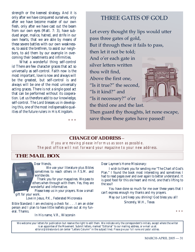strength or the keenest strategy. And it is only after we have conquered ourselves, only after we have become master of our own flesh, only after we have cast out the beam from our own eyes (Matt. 7: 3), have subdued anger, malice, hatred, and strife in our own hearts, that we are able by means of these severe battles with our own weaknesses, to assist the brethren, to assist our neighbors, to aid them by our example in overcoming their besetments and infirmities.

What a wonderful thing self-control is! There are few character graces that act so universally as self-control. Faith now is the most important, love is now and always will be the greatest, but self-control is and always will be one of the most universally acting graces. There is not a single good act that can be performed without its cooperation. Let us therefore add to our knowledge, self-control. The Lord blesses us in developing this, one of the most indispensable qualities of the future rulers in His Kingdom.

# THREE GATES OF GOLD

Let every thought thy lips would utter pass three gates of gold, But if through these it fails to pass, then let it not be told; And o'er each gate in silver letters written thou wilt find, Above the first one, "Is it true?" the second, "Is it kind?" and "Is it necessary?" o'er the third one and the last. Then guard thy thoughts, let none escape, save those these gates have passed!

# **CHANGE OF ADDRESS** —

If you are moving please inform us as soon as possible. The post office will not forward your magazine to your new address.

# **THE MAIL BOX**

#### Dear friends,

We use your literature plus Bibles sometimes to reach others in F.S.M. and worldwide.

\* \* \*

Thank you for your magazines. We pass to others when through with them. Yes, they are wonderful and informative.

Please keep us in your prayers. Now a small gift for your work.

Love in Jesus, P.K., Federated Micronesia

Bible Standard: I am enclosing a check for. . . . I am an older person and I plan to have little leaflets given out at my funeral. Thanks.

In His name, V.R., Wisconsin

Dear Laymen's Home Missionary:

I wish to thank you for sending me "The Chart of God's Plan." I found the book most interesting and sometimes I had to read pages over and over again to better understand. It is good food for this ole heart and mind, one that's lifting to the soul!

You have done so much for me over these years that I can't express enough my thanks and my prayers.

May our Lord keep you shining! God bless you all! Sincerely, W.H., Texas

\* \* \*

We welcome your letters for publication but reserve the right to edit them. We indicate only the correspondent's initials, except where the writer is an appointee of the Movement. Submit letters, marked "Editorial" to our mailing address, or e-mail us at: *editorial@biblestandard.com* (enter "Letters Column" in the subject line). *Please give your full name and postal address.*